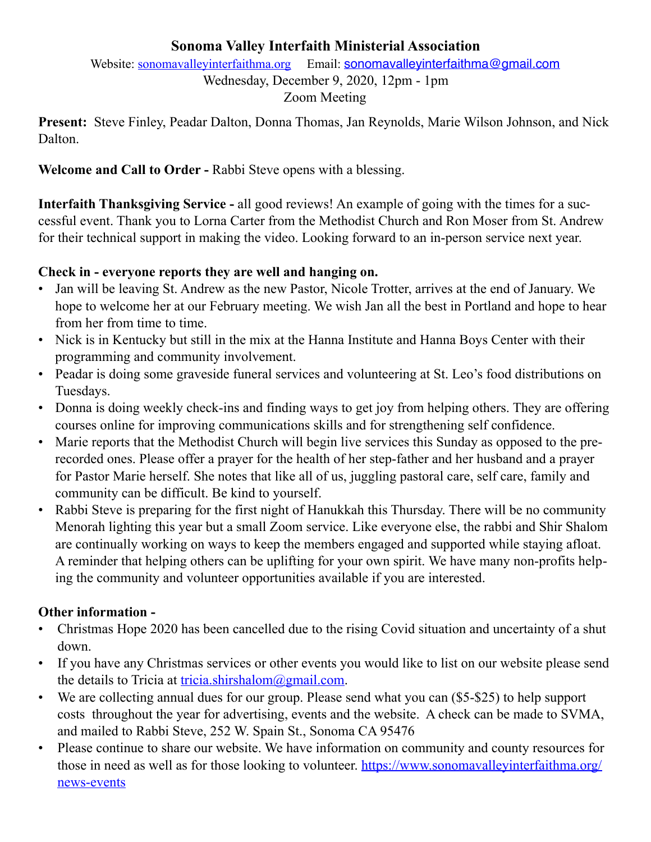#### **Sonoma Valley Interfaith Ministerial Association**

Website: [sonomavalleyinterfaithma.org](http://sonomavalleyinterfaithma.org) Email: [sonomavalleyinterfaithma@gmail.com](mailto:sonomavalleyinterfaithma@gmail.com) Wednesday, December 9, 2020, 12pm - 1pm Zoom Meeting

**Present:** Steve Finley, Peadar Dalton, Donna Thomas, Jan Reynolds, Marie Wilson Johnson, and Nick Dalton.

**Welcome and Call to Order -** Rabbi Steve opens with a blessing.

**Interfaith Thanksgiving Service -** all good reviews! An example of going with the times for a successful event. Thank you to Lorna Carter from the Methodist Church and Ron Moser from St. Andrew for their technical support in making the video. Looking forward to an in-person service next year.

#### **Check in - everyone reports they are well and hanging on.**

- Jan will be leaving St. Andrew as the new Pastor, Nicole Trotter, arrives at the end of January. We hope to welcome her at our February meeting. We wish Jan all the best in Portland and hope to hear from her from time to time.
- Nick is in Kentucky but still in the mix at the Hanna Institute and Hanna Boys Center with their programming and community involvement.
- Peadar is doing some graveside funeral services and volunteering at St. Leo's food distributions on Tuesdays.
- Donna is doing weekly check-ins and finding ways to get joy from helping others. They are offering courses online for improving communications skills and for strengthening self confidence.
- Marie reports that the Methodist Church will begin live services this Sunday as opposed to the prerecorded ones. Please offer a prayer for the health of her step-father and her husband and a prayer for Pastor Marie herself. She notes that like all of us, juggling pastoral care, self care, family and community can be difficult. Be kind to yourself.
- Rabbi Steve is preparing for the first night of Hanukkah this Thursday. There will be no community Menorah lighting this year but a small Zoom service. Like everyone else, the rabbi and Shir Shalom are continually working on ways to keep the members engaged and supported while staying afloat. A reminder that helping others can be uplifting for your own spirit. We have many non-profits helping the community and volunteer opportunities available if you are interested.

### **Other information -**

- Christmas Hope 2020 has been cancelled due to the rising Covid situation and uncertainty of a shut down.
- If you have any Christmas services or other events you would like to list on our website please send the details to Tricia at [tricia.shirshalom@gmail.com](mailto:tricia.shirshalom@gmail.com).
- We are collecting annual dues for our group. Please send what you can (\$5-\$25) to help support costs throughout the year for advertising, events and the website. A check can be made to SVMA, and mailed to Rabbi Steve, 252 W. Spain St., Sonoma CA 95476
- Please continue to share our website. We have information on community and county resources for those in need as well as for those looking to volunteer. [https://www.sonomavalleyinterfaithma.org/](https://www.sonomavalleyinterfaithma.org/news-events) [news-events](https://www.sonomavalleyinterfaithma.org/news-events)